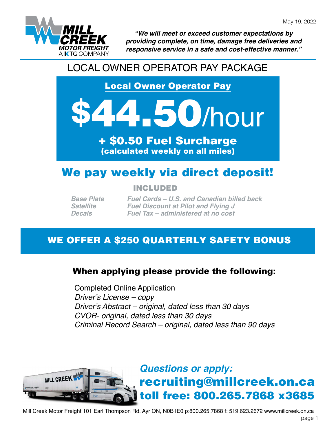

*"We will meet or exceed customer expectations by providing complete, on time, damage free deliveries and responsive service in a safe and cost-effective manner."*

## LOCAL OWNER OPERATOR PAY PACKAGE

Local Owner Operator Pay

# **150/hour**

+ \$0.50 Fuel Surcharge (calculated weekly on all miles)

# We pay weekly via direct deposit!

INCLUDED

*Base Plate Satellite Decals*

*Fuel Cards – U.S. and Canadian billed back Fuel Discount at Pilot and Flying J Fuel Tax – administered at no cost*

## WE OFFER A \$250 QUARTERLY SAFETY BONUS

## When applying please provide the following:

Completed Online Application *Driver's License – copy Driver's Abstract – original, dated less than 30 days CVOR- original, dated less than 30 days Criminal Record Search – original, dated less than 90 days*



Mill Creek Motor Freight 101 Earl Thompson Rd. Ayr ON, N0B1E0 p:800.265.7868 f: 519.623.2672 www.millcreek.on.ca page 1